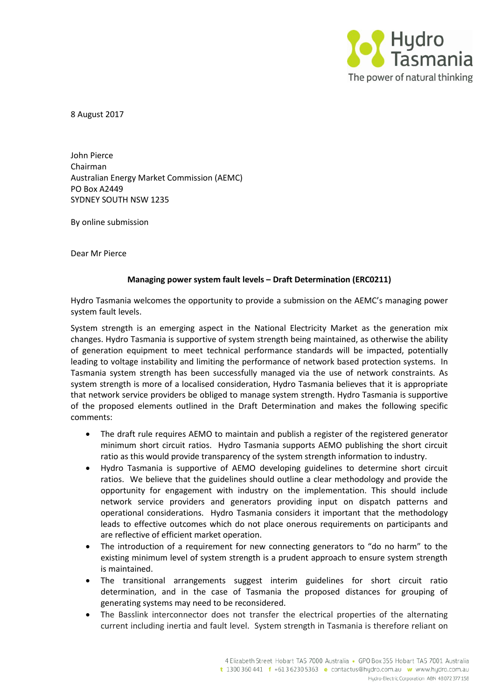

8 August 2017

John Pierce Chairman Australian Energy Market Commission (AEMC) PO Box A2449 SYDNEY SOUTH NSW 1235

By online submission

Dear Mr Pierce

## **Managing power system fault levels – Draft Determination (ERC0211)**

Hydro Tasmania welcomes the opportunity to provide a submission on the AEMC's managing power system fault levels.

System strength is an emerging aspect in the National Electricity Market as the generation mix changes. Hydro Tasmania is supportive of system strength being maintained, as otherwise the ability of generation equipment to meet technical performance standards will be impacted, potentially leading to voltage instability and limiting the performance of network based protection systems. In Tasmania system strength has been successfully managed via the use of network constraints. As system strength is more of a localised consideration, Hydro Tasmania believes that it is appropriate that network service providers be obliged to manage system strength. Hydro Tasmania is supportive of the proposed elements outlined in the Draft Determination and makes the following specific comments:

- The draft rule requires AEMO to maintain and publish a register of the registered generator minimum short circuit ratios. Hydro Tasmania supports AEMO publishing the short circuit ratio as this would provide transparency of the system strength information to industry.
- Hydro Tasmania is supportive of AEMO developing guidelines to determine short circuit ratios. We believe that the guidelines should outline a clear methodology and provide the opportunity for engagement with industry on the implementation. This should include network service providers and generators providing input on dispatch patterns and operational considerations. Hydro Tasmania considers it important that the methodology leads to effective outcomes which do not place onerous requirements on participants and are reflective of efficient market operation.
- The introduction of a requirement for new connecting generators to "do no harm" to the existing minimum level of system strength is a prudent approach to ensure system strength is maintained.
- The transitional arrangements suggest interim guidelines for short circuit ratio determination, and in the case of Tasmania the proposed distances for grouping of generating systems may need to be reconsidered.
- The Basslink interconnector does not transfer the electrical properties of the alternating current including inertia and fault level. System strength in Tasmania is therefore reliant on